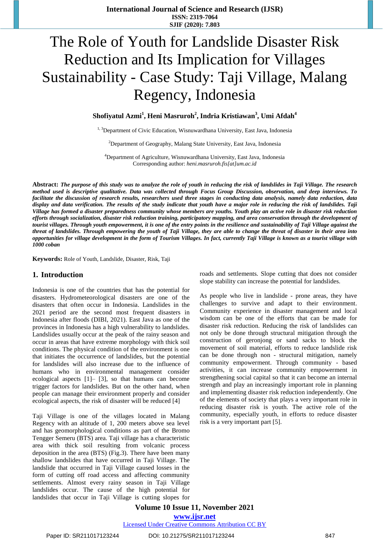# The Role of Youth for Landslide Disaster Risk Reduction and Its Implication for Villages Sustainability - Case Study: Taji Village, Malang Regency, Indonesia

**Shofiyatul Azmi<sup>1</sup> , Heni Masruroh<sup>2</sup> , Indria Kristiawan<sup>3</sup> , Umi Afdah<sup>4</sup>**

<sup>1, 3</sup>Department of Civic Education, Wisnuwardhana University, East Java, Indonesia

<sup>2</sup>Department of Geography, Malang State University, East Java, Indonesia

<sup>4</sup>Department of Agriculture, Wisnuwardhana University, East Java, Indonesia Corresponding author: *[heni.masruroh.fis\[at\]um.ac.id](mailto:heni.masruroh.fis@um.ac.id)*

Abstract: The purpose of this study was to analyze the role of youth in reducing the risk of landslides in Taji Village. The research *method used is descriptive qualitative. Data was collected through Focus Group Discussion, observation, and deep interviews. To* facilitate the discussion of research results, researchers used three stages in conducting data analysis, namely data reduction, data display and data verification. The results of the study indicate that youth have a major role in reducing the risk of landslides. Taji Village has formed a disaster preparedness community whose members are youths. Youth play an active role in disaster risk reduction efforts through socialization, disaster risk reduction training, participatory mapping, and area conservation through the development of tourist villages. Through youth empowerment, it is one of the entry points in the resilience and sustainability of Taji Village against the threat of landslides. Through empowering the youth of Taji Village, they are able to change the threat of disaster in their area into opportunities for village development in the form of Tourism Villages. In fact, currently Taji Village is known as a tourist village with *1000 coban*

**Keywords:** Role of Youth, Landslide, Disaster, Risk, Taji

### **1. Introduction**

Indonesia is one of the countries that has the potential for disasters. Hydrometeorological disasters are one of the disasters that often occur in Indonesia. Landslides in the 2021 period are the second most frequent disasters in Indonesia after floods (DIBI, 2021). East Java as one of the provinces in Indonesia has a high vulnerability to landslides. Landslides usually occur at the peak of the rainy season and occur in areas that have extreme morphology with thick soil conditions. The physical condition of the environment is one that initiates the occurrence of landslides, but the potential for landslides will also increase due to the influence of humans who in environmental management consider ecological aspects [1]– [3], so that humans can become trigger factors for landslides. But on the other hand, when people can manage their environment properly and consider ecological aspects, the risk of disaster will be reduced [4]

Taji Village is one of the villages located in Malang Regency with an altitude of 1, 200 meters above sea level and has geomorphological conditions as part of the Bromo Tengger Semeru (BTS) area. Taji village has a characteristic area with thick soil resulting from volcanic process deposition in the area (BTS) (Fig.3). There have been many shallow landslides that have occurred in Taji Village. The landslide that occurred in Taji Village caused losses in the form of cutting off road access and affecting community settlements. Almost every rainy season in Taji Village landslides occur. The cause of the high potential for landslides that occur in Taji Village is cutting slopes for roads and settlements. Slope cutting that does not consider slope stability can increase the potential for landslides.

As people who live in landslide - prone areas, they have challenges to survive and adapt to their environment. Community experience in disaster management and local wisdom can be one of the efforts that can be made for disaster risk reduction. Reducing the risk of landslides can not only be done through structural mitigation through the construction of geronjong or sand sacks to block the movement of soil material, efforts to reduce landslide risk can be done through non - structural mitigation, namely community empowerment. Through community - based activities, it can increase community empowerment in strengthening social capital so that it can become an internal strength and play an increasingly important role in planning and implementing disaster risk reduction independently. One of the elements of society that plays a very important role in reducing disaster risk is youth. The active role of the community, especially youth, in efforts to reduce disaster risk is a very important part [5].

**Volume 10 Issue 11, November 2021 www.ijsr.net** Licensed Under Creative Commons Attribution CC BY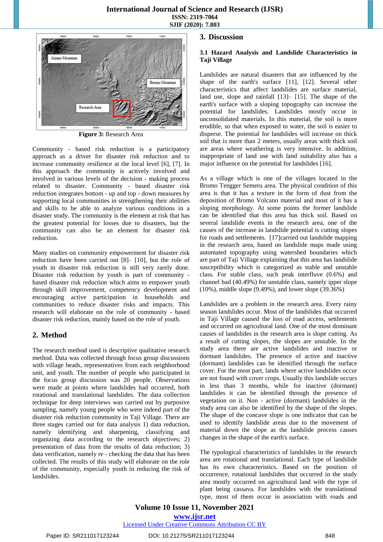### **International Journal of Science and Research (IJSR) ISSN: 2319-7064 SJIF (2020): 7.803**



**Figure 3:** Research Area

Community - based risk reduction is a participatory approach as a driver for disaster risk reduction and to increase community resilience at the local level [6], [7]. In this approach the community is actively involved and involved in various levels of the decision - making process related to disaster. Community - based disaster risk reduction integrates bottom - up and top - down measures by supporting local communities in strengthening their abilities and skills to be able to analyze various conditions in a disaster study. The community is the element at risk that has the greatest potential for losses due to disasters, but the community can also be an element for disaster risk reduction.

Many studies on community empowerment for disaster risk reduction have been carried out [8]– [10], but the role of youth in disaster risk reduction is still very rarely done. Disaster risk reduction by youth is part of community based disaster risk reduction which aims to empower youth through skill improvement, competency development and encouraging active participation in households and communities to reduce disaster risks and impacts. This research will elaborate on the role of community - based disaster risk reduction, mainly based on the role of youth.

### **2. Method**

The research method used is descriptive qualitative research method. Data was collected through focus group discussions with village heads, representatives from each neighborhood unit, and youth. The number of people who participated in the focus group discussion was 20 people. Observations were made at points where landslides had occurred, both rotational and translational landslides. The data collection technique for deep interviews was carried out by purposive sampling, namely young people who were indeed part of the disaster risk reduction community in Taji Village. There are three stages carried out for data analysis 1) data reduction, namely identifying and sharpening, classifying and organizing data according to the research objectives; 2) presentation of data from the results of data reduction; 3) data verification, namely re - checking the data that has been collected. The results of this study will elaborate on the role of the community, especially youth in reducing the risk of landslides.

### **3. Discussion**

### **3.1 Hazard Analysis and Landslide Characteristics in Taji Village**

Landslides are natural disasters that are influenced by the shape of the earth's surface [11], [12]. Several other characteristics that affect landslides are surface material, land use, slope and rainfall [13]– [15]. The shape of the earth's surface with a sloping topography can increase the potential for landslides. Landslides mostly occur in unconsolidated materials. In this material, the soil is more erodible, so that when exposed to water, the soil is easier to disperse. The potential for landslides will increase on thick soil that is more than 2 meters, usually areas with thick soil are areas where weathering is very intensive. In addition, inappropriate of land use with land suitability also has a major influence on the potential for landslides [16].

As a village which is one of the villages located in the Bromo Tengger Semeru area. The physical condition of this area is that it has a texture in the form of dust from the deposition of Bromo Volcano material and most of it has a sloping morphology. At some points the former landslide can be identified that this area has thick soil. Based on several landslide events in the research area, one of the causes of the increase in landslide potential is cutting slopes for roads and settlements. [17]carried out landslide mapping in the research area, based on landslide maps made using automated topography using watershed boundaries which are part of Taji Village explaining that this area has landslide susceptibility which is categorized as stable and unstable class. For stable class, such peak interfluve (0.6%) and channel bad (40.49%) for unstable class, namely ipper slope (10%), middle slope (9.49%), and lower slope (39.36%)

Landslides are a problem in the research area. Every rainy season landslides occur. Most of the landslides that occurred in Taji Village caused the loss of road access, settlements and occurred on agricultural land. One of the most dominant causes of landslides in the research area is slope cutting. As a result of cutting slopes, the slopes are unstable. In the study area there are active landslides and inactive or dormant landslides. The presence of active and inactive (dormant) landslides can be identified through the surface cover. For the most part, lands where active landslides occur are not found with cover crops. Usually this landslide occurs in less than 3 months, while for inactive (dormant) landslides it can be identified through the presence of vegetation on it. Non - active (dormant) landslides in the study area can also be identified by the shape of the slopes. The shape of the concave slope is one indicator that can be used to identify landslide areas due to the movement of material down the slope as the landslide process causes changes in the shape of the earth's surface.

The typological characteristics of landslides in the research area are rotational and translational. Each type of landslide has its own characteristics. Based on the position of occurrence, rotational landslides that occurred in the study area mostly occurred on agricultural land with the type of plant being cassava. For landslides with the translational type, most of them occur in association with roads and

## **Volume 10 Issue 11, November 2021**

**www.ijsr.net**

Licensed Under Creative Commons Attribution CC BY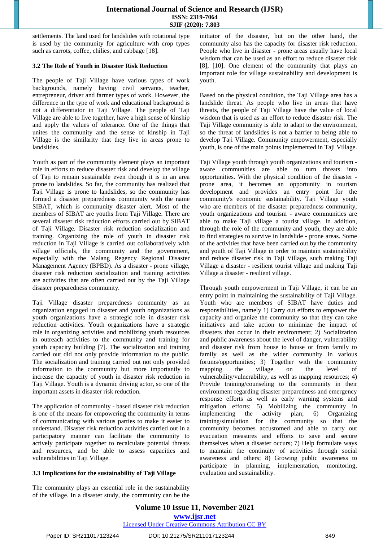### **International Journal of Science and Research (IJSR) ISSN: 2319-7064 SJIF (2020): 7.803**

settlements. The land used for landslides with rotational type is used by the community for agriculture with crop types such as carrots, coffee, chilies, and cabbage [18].

### **3.2 The Role of Youth in Disaster Risk Reduction**

The people of Taji Village have various types of work backgrounds, namely having civil servants, teacher, entrepreneur, driver and farmer types of work. However, the difference in the type of work and educational background is not a differentiator in Taji Village. The people of Taji Village are able to live together, have a high sense of kinship and apply the values of tolerance. One of the things that unites the community and the sense of kinship in Taji Village is the similarity that they live in areas prone to landslides.

Youth as part of the community element plays an important role in efforts to reduce disaster risk and develop the village of Taji to remain sustainable even though it is in an area prone to landslides. So far, the community has realized that Taji Village is prone to landslides, so the community has formed a disaster preparedness community with the name SIBAT, which is community disaster alert. Most of the members of SIBAT are youths from Taji Village. There are several disaster risk reduction efforts carried out by SIBAT of Taji Village. Disaster risk reduction socialization and training. Organizing the role of youth in disaster risk reduction in Taji Village is carried out collaboratively with village officials, the community and the government, especially with the Malang Regency Regional Disaster Management Agency (BPBD). As a disaster - prone village, disaster risk reduction socialization and training activities are activities that are often carried out by the Taji Village disaster preparedness community.

Taji Village disaster preparedness community as an organization engaged in disaster and youth organizations as youth organizations have a strategic role in disaster risk reduction activities. Youth organizations have a strategic role in organizing activities and mobilizing youth resources in outreach activities to the community and training for youth capacity building [7]. The socialization and training carried out did not only provide information to the public. The socialization and training carried out not only provided information to the community but more importantly to increase the capacity of youth in disaster risk reduction in Taji Village. Youth is a dynamic driving actor, so one of the important assets in disaster risk reduction.

The application of community - based disaster risk reduction is one of the means for empowering the community in terms of communicating with various parties to make it easier to understand. Disaster risk reduction activities carried out in a participatory manner can facilitate the community to actively participate together to recalculate potential threats and resources, and be able to assess capacities and vulnerabilities in Taji Village.

### **3.3 Implications for the sustainability of Taji Village**

The community plays an essential role in the sustainability of the village. In a disaster study, the community can be the initiator of the disaster, but on the other hand, the community also has the capacity for disaster risk reduction. People who live in disaster - prone areas usually have local wisdom that can be used as an effort to reduce disaster risk [8], [10]. One element of the community that plays an important role for village sustainability and development is youth.

Based on the physical condition, the Taji Village area has a landslide threat. As people who live in areas that have threats, the people of Taji Village have the value of local wisdom that is used as an effort to reduce disaster risk. The Taji Village community is able to adapt to the environment, so the threat of landslides is not a barrier to being able to develop Taji Village. Community empowerment, especially youth, is one of the main points implemented in Taji Village.

Taji Village youth through youth organizations and tourism aware communities are able to turn threats into opportunities. With the physical condition of the disaster prone area, it becomes an opportunity in tourism development and provides an entry point for the community's economic sustainability. Taji Village youth who are members of the disaster preparedness community, youth organizations and tourism - aware communities are able to make Taji village a tourist village. In addition, through the role of the community and youth, they are able to find strategies to survive in landslide - prone areas. Some of the activities that have been carried out by the community and youth of Taji Village in order to maintain sustainability and reduce disaster risk in Taji Village, such making Taji Village a disaster - resilient tourist village and making Taji Village a disaster - resilient village.

Through youth empowerment in Taji Village, it can be an entry point in maintaining the sustainability of Taji Village. Youth who are members of SIBAT have duties and responsibilities, namely 1) Carry out efforts to empower the capacity and organize the community so that they can take initiatives and take action to minimize the impact of disasters that occur in their environment; 2) Socialization and public awareness about the level of danger, vulnerability and disaster risk from house to house or from family to family as well as the wider community in various forums/opportunities; 3) Together with the community mapping the village on the level of vulnerability/vulnerability, as well as mapping resources; 4) Provide training/counseling to the community in their environment regarding disaster preparedness and emergency response efforts as well as early warning systems and mitigation efforts; 5) Mobilizing the community in implementing the activity plan; 6) Organizing training/simulation for the community so that the community becomes accustomed and able to carry out evacuation measures and efforts to save and secure themselves when a disaster occurs; 7) Help formulate ways to maintain the continuity of activities through social awareness and others; 8) Growing public awareness to participate in planning, implementation, monitoring, evaluation and sustainability.

**Volume 10 Issue 11, November 2021 www.ijsr.net** Licensed Under Creative Commons Attribution CC BY